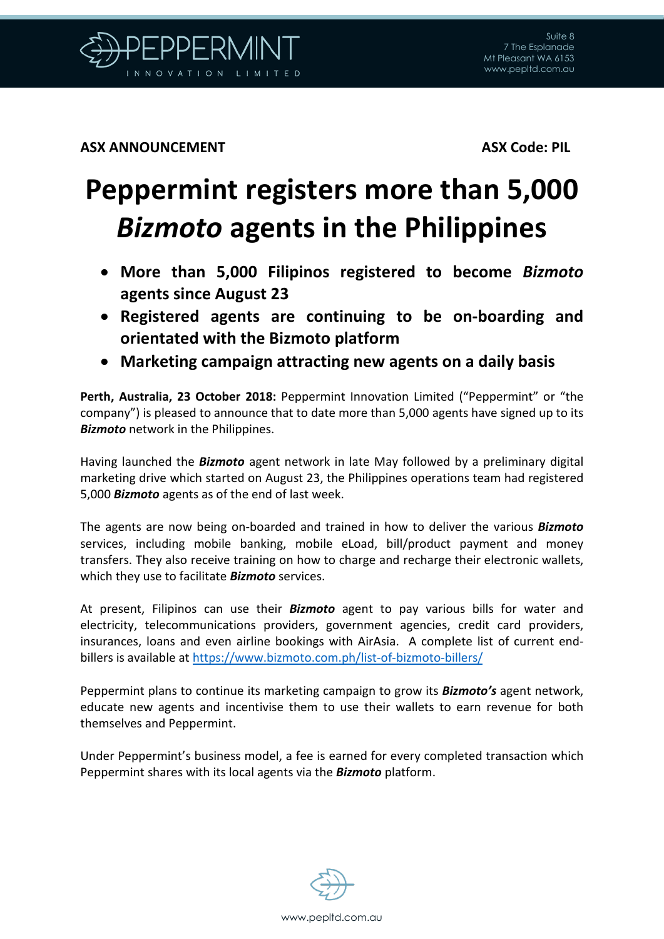

**ASX ANNOUNCEMENT ASX Code: PIL**

## **Peppermint registers more than 5,000**  *Bizmoto* **agents in the Philippines**

- **More than 5,000 Filipinos registered to become** *Bizmoto* **agents since August 23**
- **Registered agents are continuing to be on-boarding and orientated with the Bizmoto platform**
- **Marketing campaign attracting new agents on a daily basis**

**Perth, Australia, 23 October 2018:** Peppermint Innovation Limited ("Peppermint" or "the company") is pleased to announce that to date more than 5,000 agents have signed up to its *Bizmoto* network in the Philippines.

Having launched the *Bizmoto* agent network in late May followed by a preliminary digital marketing drive which started on August 23, the Philippines operations team had registered 5,000 *Bizmoto* agents as of the end of last week.

The agents are now being on-boarded and trained in how to deliver the various *Bizmoto* services, including mobile banking, mobile eLoad, bill/product payment and money transfers. They also receive training on how to charge and recharge their electronic wallets, which they use to facilitate *Bizmoto* services.

At present, Filipinos can use their *Bizmoto* agent to pay various bills for water and electricity, telecommunications providers, government agencies, credit card providers, insurances, loans and even airline bookings with AirAsia. A complete list of current endbillers is available at<https://www.bizmoto.com.ph/list-of-bizmoto-billers/>

Peppermint plans to continue its marketing campaign to grow its *Bizmoto's* agent network, educate new agents and incentivise them to use their wallets to earn revenue for both themselves and Peppermint.

Under Peppermint's business model, a fee is earned for every completed transaction which Peppermint shares with its local agents via the *Bizmoto* platform.